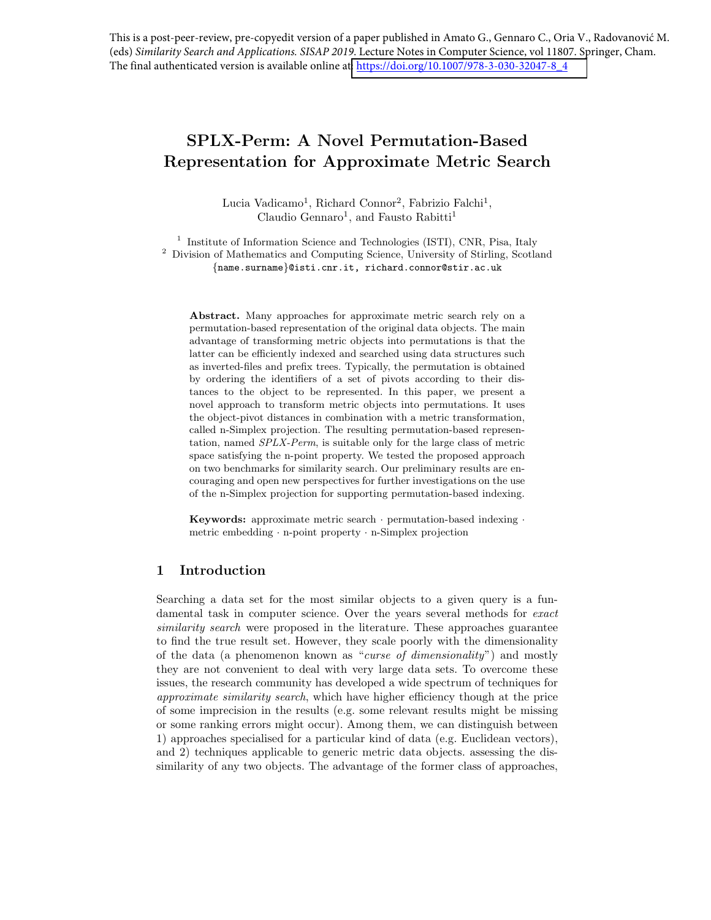# SPLX-Perm: A Novel Permutation-Based Representation for Approximate Metric Search

Lucia Vadicamo<sup>1</sup>, Richard Connor<sup>2</sup>, Fabrizio Falchi<sup>1</sup>, Claudio Gennaro<sup>1</sup>, and Fausto Rabitti<sup>1</sup>

<sup>1</sup> Institute of Information Science and Technologies (ISTI), CNR, Pisa, Italy

<sup>2</sup> Division of Mathematics and Computing Science, University of Stirling, Scotland

{name.surname}@isti.cnr.it, richard.connor@stir.ac.uk

Abstract. Many approaches for approximate metric search rely on a permutation-based representation of the original data objects. The main advantage of transforming metric objects into permutations is that the latter can be efficiently indexed and searched using data structures such as inverted-files and prefix trees. Typically, the permutation is obtained by ordering the identifiers of a set of pivots according to their distances to the object to be represented. In this paper, we present a novel approach to transform metric objects into permutations. It uses the object-pivot distances in combination with a metric transformation, called n-Simplex projection. The resulting permutation-based representation, named SPLX-Perm, is suitable only for the large class of metric space satisfying the n-point property. We tested the proposed approach on two benchmarks for similarity search. Our preliminary results are encouraging and open new perspectives for further investigations on the use of the n-Simplex projection for supporting permutation-based indexing.

Keywords: approximate metric search · permutation-based indexing · metric embedding · n-point property · n-Simplex projection

## 1 Introduction

Searching a data set for the most similar objects to a given query is a fundamental task in computer science. Over the years several methods for exact similarity search were proposed in the literature. These approaches guarantee to find the true result set. However, they scale poorly with the dimensionality of the data (a phenomenon known as "curse of dimensionality") and mostly they are not convenient to deal with very large data sets. To overcome these issues, the research community has developed a wide spectrum of techniques for approximate similarity search, which have higher efficiency though at the price of some imprecision in the results (e.g. some relevant results might be missing or some ranking errors might occur). Among them, we can distinguish between 1) approaches specialised for a particular kind of data (e.g. Euclidean vectors), and 2) techniques applicable to generic metric data objects. assessing the dissimilarity of any two objects. The advantage of the former class of approaches,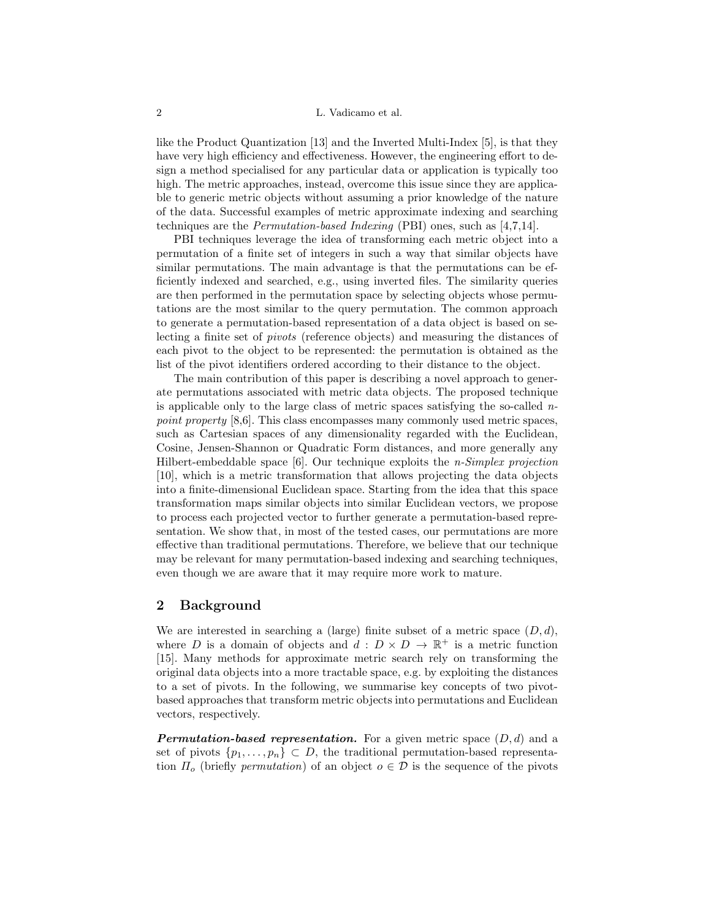#### 2 L. Vadicamo et al.

like the Product Quantization [13] and the Inverted Multi-Index [5], is that they have very high efficiency and effectiveness. However, the engineering effort to design a method specialised for any particular data or application is typically too high. The metric approaches, instead, overcome this issue since they are applicable to generic metric objects without assuming a prior knowledge of the nature of the data. Successful examples of metric approximate indexing and searching techniques are the Permutation-based Indexing (PBI) ones, such as [4,7,14].

PBI techniques leverage the idea of transforming each metric object into a permutation of a finite set of integers in such a way that similar objects have similar permutations. The main advantage is that the permutations can be efficiently indexed and searched, e.g., using inverted files. The similarity queries are then performed in the permutation space by selecting objects whose permutations are the most similar to the query permutation. The common approach to generate a permutation-based representation of a data object is based on selecting a finite set of pivots (reference objects) and measuring the distances of each pivot to the object to be represented: the permutation is obtained as the list of the pivot identifiers ordered according to their distance to the object.

The main contribution of this paper is describing a novel approach to generate permutations associated with metric data objects. The proposed technique is applicable only to the large class of metric spaces satisfying the so-called  $n$ point property [8,6]. This class encompasses many commonly used metric spaces, such as Cartesian spaces of any dimensionality regarded with the Euclidean, Cosine, Jensen-Shannon or Quadratic Form distances, and more generally any Hilbert-embeddable space [6]. Our technique exploits the n-Simplex projection [10], which is a metric transformation that allows projecting the data objects into a finite-dimensional Euclidean space. Starting from the idea that this space transformation maps similar objects into similar Euclidean vectors, we propose to process each projected vector to further generate a permutation-based representation. We show that, in most of the tested cases, our permutations are more effective than traditional permutations. Therefore, we believe that our technique may be relevant for many permutation-based indexing and searching techniques, even though we are aware that it may require more work to mature.

#### 2 Background

We are interested in searching a (large) finite subset of a metric space  $(D, d)$ , where D is a domain of objects and  $d : D \times D \to \mathbb{R}^+$  is a metric function [15]. Many methods for approximate metric search rely on transforming the original data objects into a more tractable space, e.g. by exploiting the distances to a set of pivots. In the following, we summarise key concepts of two pivotbased approaches that transform metric objects into permutations and Euclidean vectors, respectively.

**Permutation-based representation.** For a given metric space  $(D, d)$  and a set of pivots  $\{p_1, \ldots, p_n\} \subset D$ , the traditional permutation-based representation  $\Pi_o$  (briefly permutation) of an object  $o \in \mathcal{D}$  is the sequence of the pivots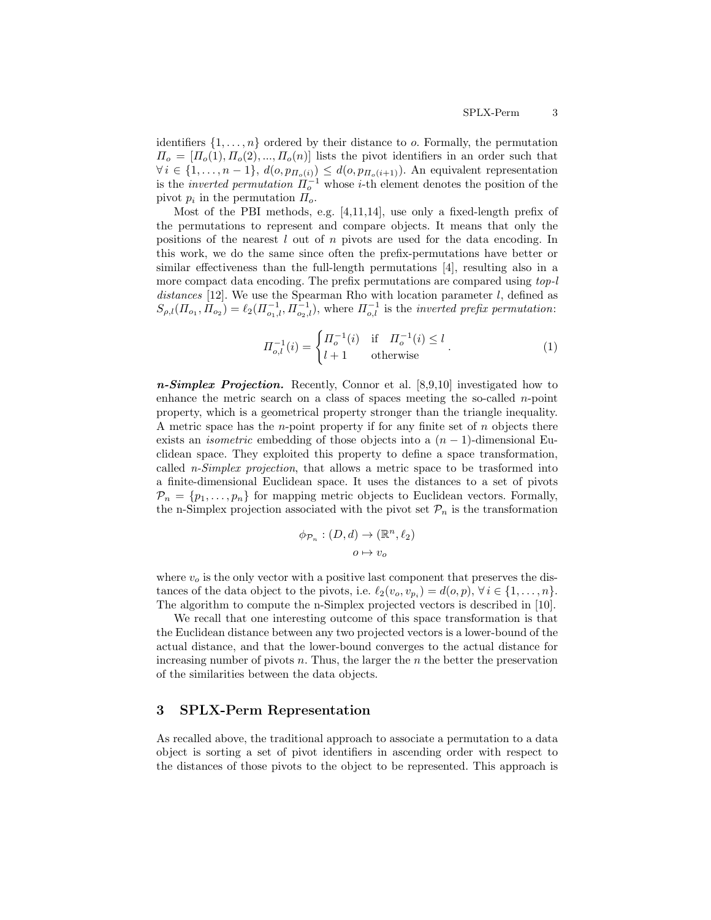identifiers  $\{1, \ldots, n\}$  ordered by their distance to *o*. Formally, the permutation  $\Pi_o = [H_o(1), H_o(2), ..., H_o(n)]$  lists the pivot identifiers in an order such that  $\forall i \in \{1, \ldots, n-1\}, d(o, p_{\Pi_o(i)}) \leq d(o, p_{\Pi_o(i+1)})$ . An equivalent representation is the *inverted permutation*  $\overline{H}_o^{-1}$  whose *i*-th element denotes the position of the pivot  $p_i$  in the permutation  $\Pi_o$ .

Most of the PBI methods, e.g. [4,11,14], use only a fixed-length prefix of the permutations to represent and compare objects. It means that only the positions of the nearest  $l$  out of  $n$  pivots are used for the data encoding. In this work, we do the same since often the prefix-permutations have better or similar effectiveness than the full-length permutations [4], resulting also in a more compact data encoding. The prefix permutations are compared using top-l distances [12]. We use the Spearman Rho with location parameter  $l$ , defined as  $S_{\rho,l}(I_{o_1}, \dot{II}_{o_2}) = \ell_2(I_{o_1,l}^{-1}, I_{o_2,l}^{-1}),$  where  $I_{o,l}^{-1}$  is the *inverted prefix permutation*:

$$
H_{o,l}^{-1}(i) = \begin{cases} H_o^{-1}(i) & \text{if } H_o^{-1}(i) \le l \\ l+1 & \text{otherwise} \end{cases} .
$$
 (1)

 $n\text{-}Simplex$  Projection. Recently, Connor et al. [8,9,10] investigated how to enhance the metric search on a class of spaces meeting the so-called  $n$ -point property, which is a geometrical property stronger than the triangle inequality. A metric space has the *n*-point property if for any finite set of  $n$  objects there exists an *isometric* embedding of those objects into a  $(n - 1)$ -dimensional Euclidean space. They exploited this property to define a space transformation, called n-Simplex projection, that allows a metric space to be trasformed into a finite-dimensional Euclidean space. It uses the distances to a set of pivots  $\mathcal{P}_n = \{p_1, \ldots, p_n\}$  for mapping metric objects to Euclidean vectors. Formally, the n-Simplex projection associated with the pivot set  $\mathcal{P}_n$  is the transformation

$$
\phi_{\mathcal{P}_n} : (D,d) \to (\mathbb{R}^n, \ell_2)
$$

$$
o \mapsto v_o
$$

where  $v<sub>o</sub>$  is the only vector with a positive last component that preserves the distances of the data object to the pivots, i.e.  $\ell_2(v_o, v_{p_i}) = d(o, p), \forall i \in \{1, ..., n\}.$ The algorithm to compute the n-Simplex projected vectors is described in [10].

We recall that one interesting outcome of this space transformation is that the Euclidean distance between any two projected vectors is a lower-bound of the actual distance, and that the lower-bound converges to the actual distance for increasing number of pivots  $n$ . Thus, the larger the  $n$  the better the preservation of the similarities between the data objects.

#### 3 SPLX-Perm Representation

As recalled above, the traditional approach to associate a permutation to a data object is sorting a set of pivot identifiers in ascending order with respect to the distances of those pivots to the object to be represented. This approach is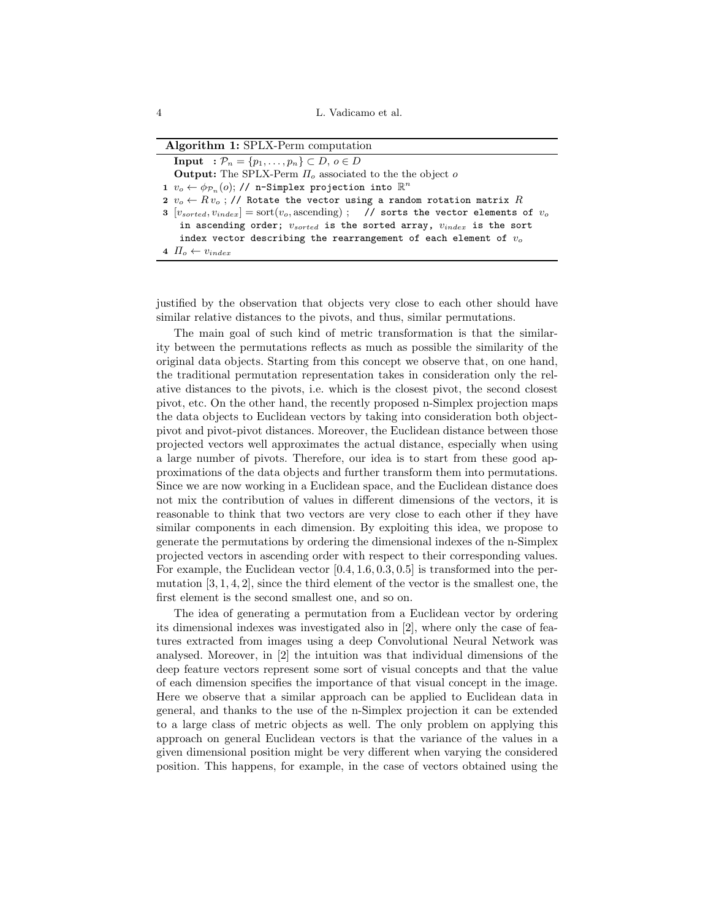|  |  |  | Algorithm 1: SPLX-Perm computation |
|--|--|--|------------------------------------|
|--|--|--|------------------------------------|

| <b>Input</b> : $\mathcal{P}_n = \{p_1, \ldots, p_n\} \subset D, o \in D$                                  |
|-----------------------------------------------------------------------------------------------------------|
| <b>Output:</b> The SPLX-Perm $\Pi_o$ associated to the the object o                                       |
| 1 $v_o \leftarrow \phi_{\mathcal{P}_n}(o)$ ; // n-Simplex projection into $\mathbb{R}^n$                  |
| 2 $v_o \leftarrow R v_o$ ; // Rotate the vector using a random rotation matrix R                          |
| 3 $[v_{sorted}, v_{index}] = \text{sort}(v_o, \text{ ascending})$ ; // sorts the vector elements of $v_o$ |
| in ascending order; $v_{sorted}$ is the sorted array, $v_{index}$ is the sort                             |
| index vector describing the rearrangement of each element of $vo$                                         |
| 4 $\Pi_o \leftarrow v_{index}$                                                                            |
|                                                                                                           |

justified by the observation that objects very close to each other should have similar relative distances to the pivots, and thus, similar permutations.

The main goal of such kind of metric transformation is that the similarity between the permutations reflects as much as possible the similarity of the original data objects. Starting from this concept we observe that, on one hand, the traditional permutation representation takes in consideration only the relative distances to the pivots, i.e. which is the closest pivot, the second closest pivot, etc. On the other hand, the recently proposed n-Simplex projection maps the data objects to Euclidean vectors by taking into consideration both objectpivot and pivot-pivot distances. Moreover, the Euclidean distance between those projected vectors well approximates the actual distance, especially when using a large number of pivots. Therefore, our idea is to start from these good approximations of the data objects and further transform them into permutations. Since we are now working in a Euclidean space, and the Euclidean distance does not mix the contribution of values in different dimensions of the vectors, it is reasonable to think that two vectors are very close to each other if they have similar components in each dimension. By exploiting this idea, we propose to generate the permutations by ordering the dimensional indexes of the n-Simplex projected vectors in ascending order with respect to their corresponding values. For example, the Euclidean vector  $[0.4, 1.6, 0.3, 0.5]$  is transformed into the permutation  $[3, 1, 4, 2]$ , since the third element of the vector is the smallest one, the first element is the second smallest one, and so on.

The idea of generating a permutation from a Euclidean vector by ordering its dimensional indexes was investigated also in [2], where only the case of features extracted from images using a deep Convolutional Neural Network was analysed. Moreover, in [2] the intuition was that individual dimensions of the deep feature vectors represent some sort of visual concepts and that the value of each dimension specifies the importance of that visual concept in the image. Here we observe that a similar approach can be applied to Euclidean data in general, and thanks to the use of the n-Simplex projection it can be extended to a large class of metric objects as well. The only problem on applying this approach on general Euclidean vectors is that the variance of the values in a given dimensional position might be very different when varying the considered position. This happens, for example, in the case of vectors obtained using the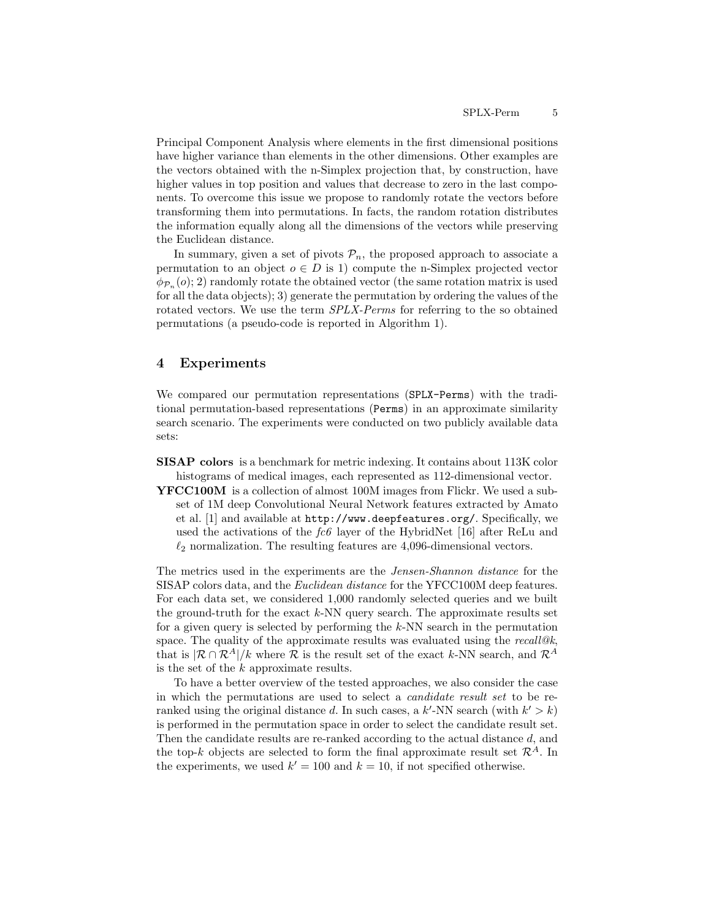Principal Component Analysis where elements in the first dimensional positions have higher variance than elements in the other dimensions. Other examples are the vectors obtained with the n-Simplex projection that, by construction, have higher values in top position and values that decrease to zero in the last components. To overcome this issue we propose to randomly rotate the vectors before transforming them into permutations. In facts, the random rotation distributes the information equally along all the dimensions of the vectors while preserving the Euclidean distance.

In summary, given a set of pivots  $P_n$ , the proposed approach to associate a permutation to an object  $o \in D$  is 1) compute the n-Simplex projected vector  $\phi_{\mathcal{P}_n}(o); 2$ ) randomly rotate the obtained vector (the same rotation matrix is used for all the data objects); 3) generate the permutation by ordering the values of the rotated vectors. We use the term *SPLX-Perms* for referring to the so obtained permutations (a pseudo-code is reported in Algorithm 1).

## 4 Experiments

We compared our permutation representations (SPLX-Perms) with the traditional permutation-based representations (Perms) in an approximate similarity search scenario. The experiments were conducted on two publicly available data sets:

- SISAP colors is a benchmark for metric indexing. It contains about 113K color histograms of medical images, each represented as 112-dimensional vector.
- YFCC100M is a collection of almost 100M images from Flickr. We used a subset of 1M deep Convolutional Neural Network features extracted by Amato et al. [1] and available at http://www.deepfeatures.org/. Specifically, we used the activations of the  $fc6$  layer of the HybridNet [16] after ReLu and  $\ell_2$  normalization. The resulting features are 4,096-dimensional vectors.

The metrics used in the experiments are the Jensen-Shannon distance for the SISAP colors data, and the Euclidean distance for the YFCC100M deep features. For each data set, we considered 1,000 randomly selected queries and we built the ground-truth for the exact  $k$ -NN query search. The approximate results set for a given query is selected by performing the  $k$ -NN search in the permutation space. The quality of the approximate results was evaluated using the recall  $@k$ , that is  $\mathcal{R} \cap \mathcal{R}^A$  /k where R is the result set of the exact k-NN search, and  $\mathcal{R}^A$ is the set of the k approximate results.

To have a better overview of the tested approaches, we also consider the case in which the permutations are used to select a candidate result set to be reranked using the original distance d. In such cases, a  $k'$ -NN search (with  $k' > k$ ) is performed in the permutation space in order to select the candidate result set. Then the candidate results are re-ranked according to the actual distance d, and the top-k objects are selected to form the final approximate result set  $\mathcal{R}^A$ . In the experiments, we used  $k' = 100$  and  $k = 10$ , if not specified otherwise.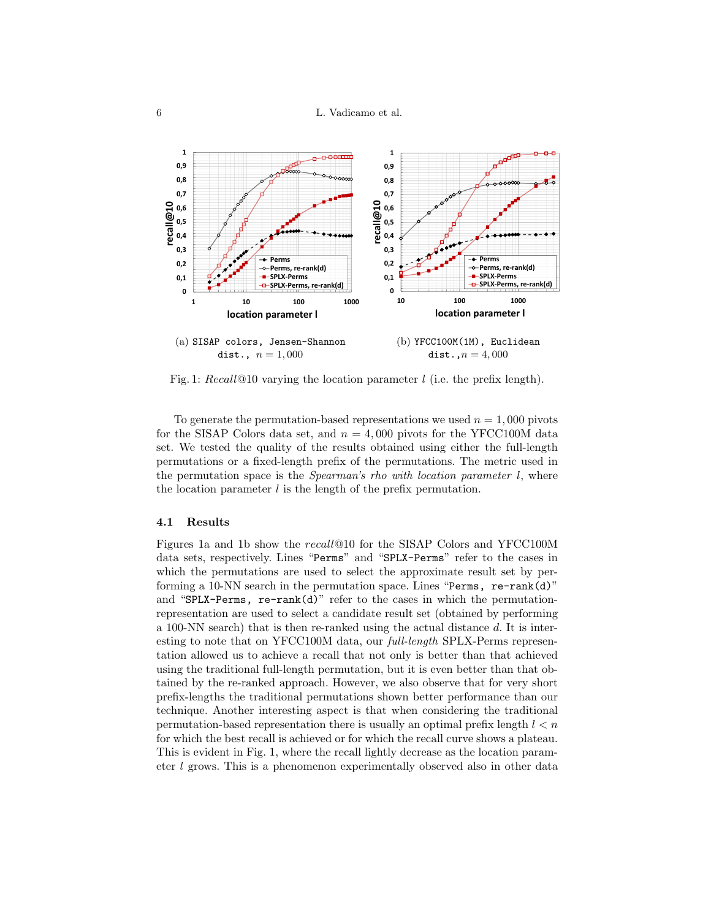6 L. Vadicamo et al.



Fig. 1:  $Recall@10$  varying the location parameter l (i.e. the prefix length).

To generate the permutation-based representations we used  $n = 1,000$  pivots for the SISAP Colors data set, and  $n = 4,000$  pivots for the YFCC100M data set. We tested the quality of the results obtained using either the full-length permutations or a fixed-length prefix of the permutations. The metric used in the permutation space is the *Spearman's rho with location parameter l*, where the location parameter  $l$  is the length of the prefix permutation.

#### 4.1 Results

Figures 1a and 1b show the recall@10 for the SISAP Colors and YFCC100M data sets, respectively. Lines "Perms" and "SPLX-Perms" refer to the cases in which the permutations are used to select the approximate result set by performing a 10-NN search in the permutation space. Lines "Perms, re-rank(d)" and "SPLX-Perms, re-rank(d)" refer to the cases in which the permutationrepresentation are used to select a candidate result set (obtained by performing a 100-NN search) that is then re-ranked using the actual distance  $d$ . It is interesting to note that on YFCC100M data, our *full-length* SPLX-Perms representation allowed us to achieve a recall that not only is better than that achieved using the traditional full-length permutation, but it is even better than that obtained by the re-ranked approach. However, we also observe that for very short prefix-lengths the traditional permutations shown better performance than our technique. Another interesting aspect is that when considering the traditional permutation-based representation there is usually an optimal prefix length  $l < n$ for which the best recall is achieved or for which the recall curve shows a plateau. This is evident in Fig. 1, where the recall lightly decrease as the location parameter l grows. This is a phenomenon experimentally observed also in other data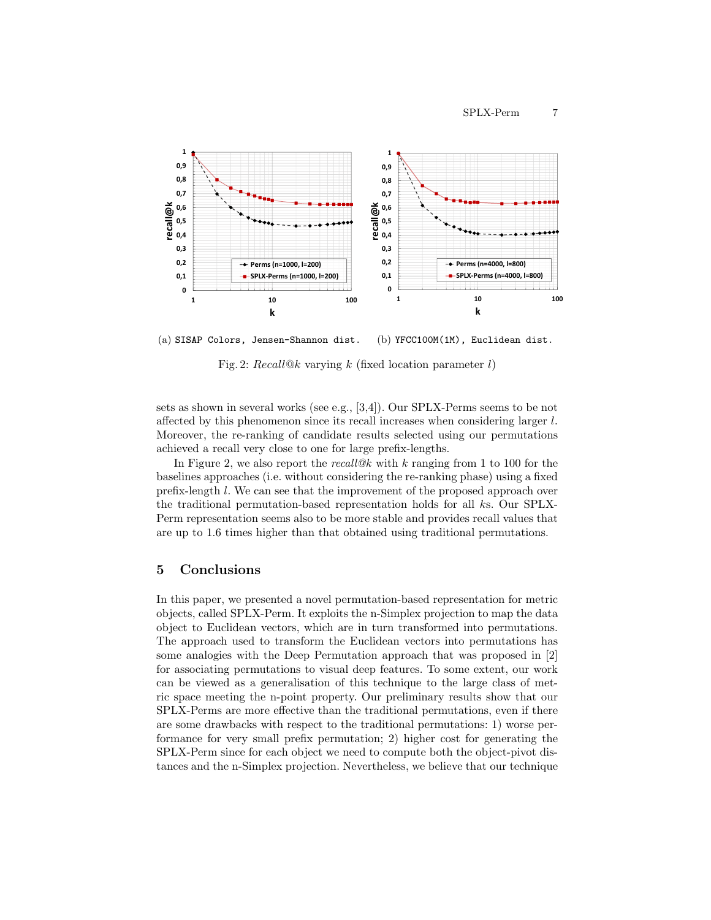

(a) SISAP Colors, Jensen-Shannon dist. (b) YFCC100M(1M), Euclidean dist.

Fig. 2:  $Recall@k$  varying k (fixed location parameter l)

sets as shown in several works (see e.g., [3,4]). Our SPLX-Perms seems to be not affected by this phenomenon since its recall increases when considering larger l. Moreover, the re-ranking of candidate results selected using our permutations achieved a recall very close to one for large prefix-lengths.

In Figure 2, we also report the recall  $@k$  with k ranging from 1 to 100 for the baselines approaches (i.e. without considering the re-ranking phase) using a fixed prefix-length l. We can see that the improvement of the proposed approach over the traditional permutation-based representation holds for all ks. Our SPLX-Perm representation seems also to be more stable and provides recall values that are up to 1.6 times higher than that obtained using traditional permutations.

## 5 Conclusions

In this paper, we presented a novel permutation-based representation for metric objects, called SPLX-Perm. It exploits the n-Simplex projection to map the data object to Euclidean vectors, which are in turn transformed into permutations. The approach used to transform the Euclidean vectors into permutations has some analogies with the Deep Permutation approach that was proposed in [2] for associating permutations to visual deep features. To some extent, our work can be viewed as a generalisation of this technique to the large class of metric space meeting the n-point property. Our preliminary results show that our SPLX-Perms are more effective than the traditional permutations, even if there are some drawbacks with respect to the traditional permutations: 1) worse performance for very small prefix permutation; 2) higher cost for generating the SPLX-Perm since for each object we need to compute both the object-pivot distances and the n-Simplex projection. Nevertheless, we believe that our technique